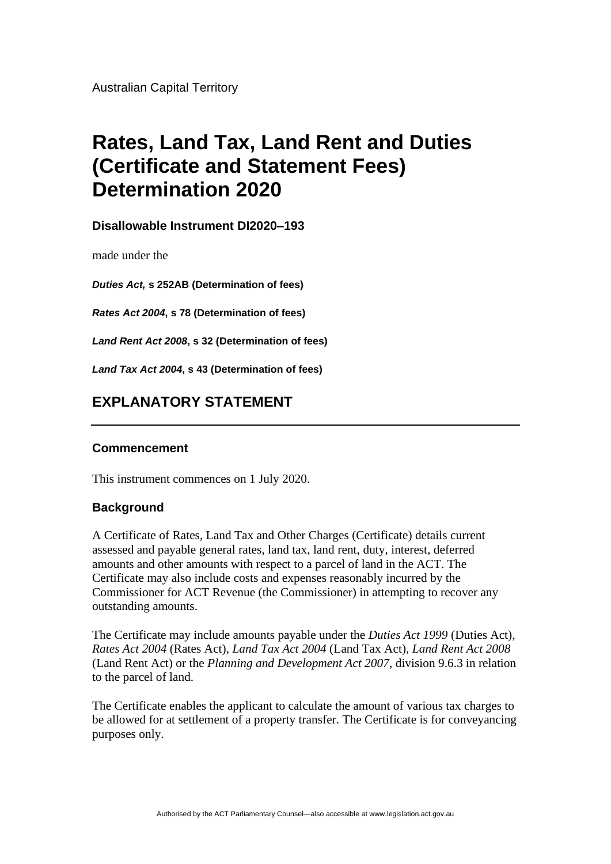Australian Capital Territory

# **Rates, Land Tax, Land Rent and Duties (Certificate and Statement Fees) Determination 2020**

**Disallowable Instrument DI2020–193**

made under the

*Duties Act,* **s 252AB (Determination of fees)**

*Rates Act 2004***, s 78 (Determination of fees)**

*Land Rent Act 2008***, s 32 (Determination of fees)**

*Land Tax Act 2004***, s 43 (Determination of fees)**

## **EXPLANATORY STATEMENT**

### **Commencement**

This instrument commences on 1 July 2020.

### **Background**

A Certificate of Rates, Land Tax and Other Charges (Certificate) details current assessed and payable general rates, land tax, land rent, duty, interest, deferred amounts and other amounts with respect to a parcel of land in the ACT. The Certificate may also include costs and expenses reasonably incurred by the Commissioner for ACT Revenue (the Commissioner) in attempting to recover any outstanding amounts.

The Certificate may include amounts payable under the *Duties Act 1999* (Duties Act), *Rates Act 2004* (Rates Act), *Land Tax Act 2004* (Land Tax Act), *Land Rent Act 2008* (Land Rent Act) or the *Planning and Development Act 2007*, division 9.6.3 in relation to the parcel of land.

The Certificate enables the applicant to calculate the amount of various tax charges to be allowed for at settlement of a property transfer. The Certificate is for conveyancing purposes only.